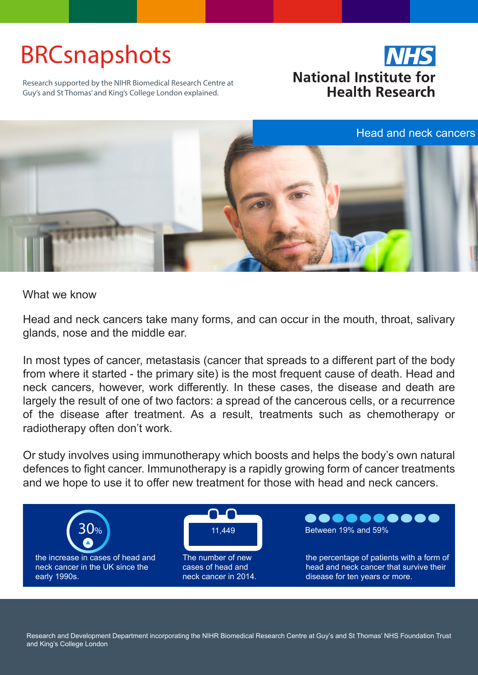## BRCsnapshots



Research supported by the NIHR Biomedical Research Centre at Guy's and St Thomas' and King's College London explained.



What we know

Head and neck cancers take many forms, and can occur in the mouth, throat, salivary glands, nose and the middle ear.

In most types of cancer, metastasis (cancer that spreads to a different part of the body from where it started - the primary site) is the most frequent cause of death. Head and neck cancers, however, work differently. In these cases, the disease and death are largely the result of one of two factors: a spread of the cancerous cells, or a recurrence of the disease after treatment. As a result, treatments such as chemotherapy or radiotherapy often don't work.

Or study involves using immunotherapy which boosts and helps the body's own natural defences to fight cancer. Immunotherapy is a rapidly growing form of cancer treatments and we hope to use it to offer new treatment for those with head and neck cancers.



Research and Development Department incorporating the NIHR Biomedical Research Centre at Guy's and St Thomas' NHS Foundation Trust and King's College London